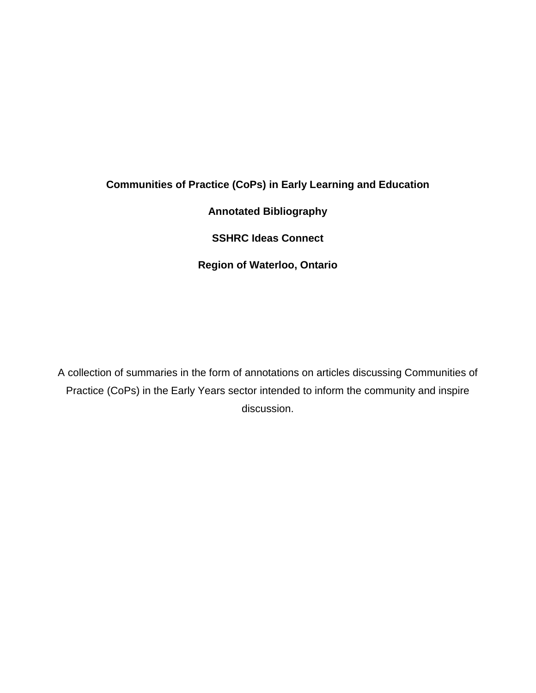# **Communities of Practice (CoPs) in Early Learning and Education**

**Annotated Bibliography**

**SSHRC Ideas Connect**

**Region of Waterloo, Ontario**

A collection of summaries in the form of annotations on articles discussing Communities of Practice (CoPs) in the Early Years sector intended to inform the community and inspire discussion.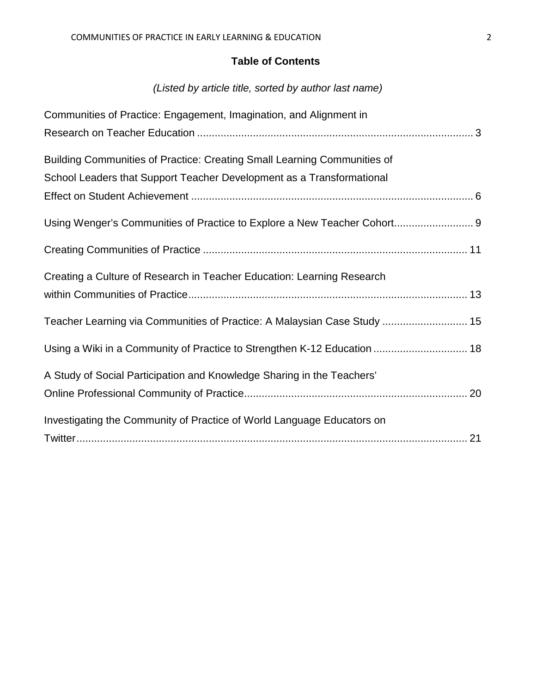# **Table of Contents**

# *(Listed by article title, sorted by author last name)*

| Communities of Practice: Engagement, Imagination, and Alignment in       |
|--------------------------------------------------------------------------|
|                                                                          |
| Building Communities of Practice: Creating Small Learning Communities of |
| School Leaders that Support Teacher Development as a Transformational    |
|                                                                          |
| Using Wenger's Communities of Practice to Explore a New Teacher Cohort 9 |
|                                                                          |
| Creating a Culture of Research in Teacher Education: Learning Research   |
|                                                                          |
| Teacher Learning via Communities of Practice: A Malaysian Case Study  15 |
| Using a Wiki in a Community of Practice to Strengthen K-12 Education  18 |
| A Study of Social Participation and Knowledge Sharing in the Teachers'   |
|                                                                          |
| Investigating the Community of Practice of World Language Educators on   |
|                                                                          |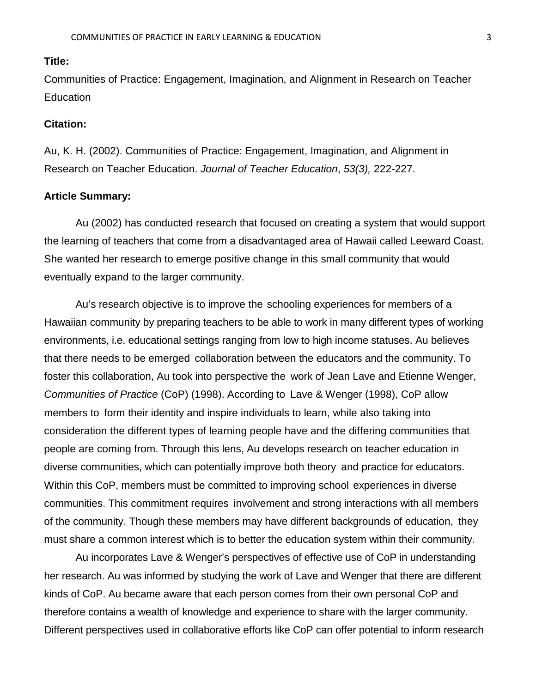<span id="page-2-0"></span>Communities of Practice: Engagement, Imagination, and Alignment in Research on Teacher **Education** 

## **Citation:**

Au, K. H. (2002). Communities of Practice: Engagement, Imagination, and Alignment in Research on Teacher Education. *Journal of Teacher Education*, *53(3),* 222-227.

#### **Article Summary:**

Au (2002) has conducted research that focused on creating a system that would support the learning of teachers that come from a disadvantaged area of Hawaii called Leeward Coast. She wanted her research to emerge positive change in this small community that would eventually expand to the larger community.

Au's research objective is to improve the schooling experiences for members of a Hawaiian community by preparing teachers to be able to work in many different types of working environments, i.e. educational settings ranging from low to high income statuses. Au believes that there needs to be emerged collaboration between the educators and the community. To foster this collaboration, Au took into perspective the work of Jean Lave and Etienne Wenger, *Communities of Practice* (CoP) (1998). According to Lave & Wenger (1998), CoP allow members to form their identity and inspire individuals to learn, while also taking into consideration the different types of learning people have and the differing communities that people are coming from. Through this lens, Au develops research on teacher education in diverse communities, which can potentially improve both theory and practice for educators. Within this CoP, members must be committed to improving school experiences in diverse communities. This commitment requires involvement and strong interactions with all members of the community. Though these members may have different backgrounds of education, they must share a common interest which is to better the education system within their community.

Au incorporates Lave & Wenger's perspectives of effective use of CoP in understanding her research. Au was informed by studying the work of Lave and Wenger that there are different kinds of CoP. Au became aware that each person comes from their own personal CoP and therefore contains a wealth of knowledge and experience to share with the larger community. Different perspectives used in collaborative efforts like CoP can offer potential to inform research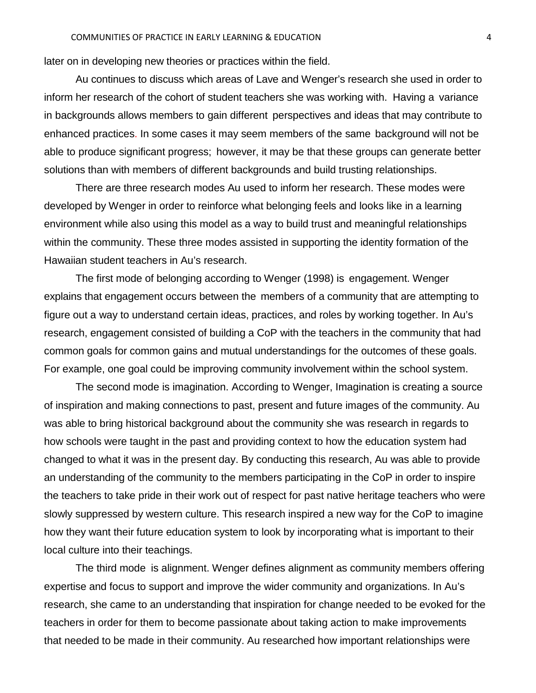later on in developing new theories or practices within the field.

Au continues to discuss which areas of Lave and Wenger's research she used in order to inform her research of the cohort of student teachers she was working with. Having a variance in backgrounds allows members to gain different perspectives and ideas that may contribute to enhanced practices. In some cases it may seem members of the same background will not be able to produce significant progress; however, it may be that these groups can generate better solutions than with members of different backgrounds and build trusting relationships.

There are three research modes Au used to inform her research. These modes were developed by Wenger in order to reinforce what belonging feels and looks like in a learning environment while also using this model as a way to build trust and meaningful relationships within the community. These three modes assisted in supporting the identity formation of the Hawaiian student teachers in Au's research.

The first mode of belonging according to Wenger (1998) is engagement. Wenger explains that engagement occurs between the members of a community that are attempting to figure out a way to understand certain ideas, practices, and roles by working together. In Au's research, engagement consisted of building a CoP with the teachers in the community that had common goals for common gains and mutual understandings for the outcomes of these goals. For example, one goal could be improving community involvement within the school system.

The second mode is imagination. According to Wenger, Imagination is creating a source of inspiration and making connections to past, present and future images of the community. Au was able to bring historical background about the community she was research in regards to how schools were taught in the past and providing context to how the education system had changed to what it was in the present day. By conducting this research, Au was able to provide an understanding of the community to the members participating in the CoP in order to inspire the teachers to take pride in their work out of respect for past native heritage teachers who were slowly suppressed by western culture. This research inspired a new way for the CoP to imagine how they want their future education system to look by incorporating what is important to their local culture into their teachings.

The third mode is alignment. Wenger defines alignment as community members offering expertise and focus to support and improve the wider community and organizations. In Au's research, she came to an understanding that inspiration for change needed to be evoked for the teachers in order for them to become passionate about taking action to make improvements that needed to be made in their community. Au researched how important relationships were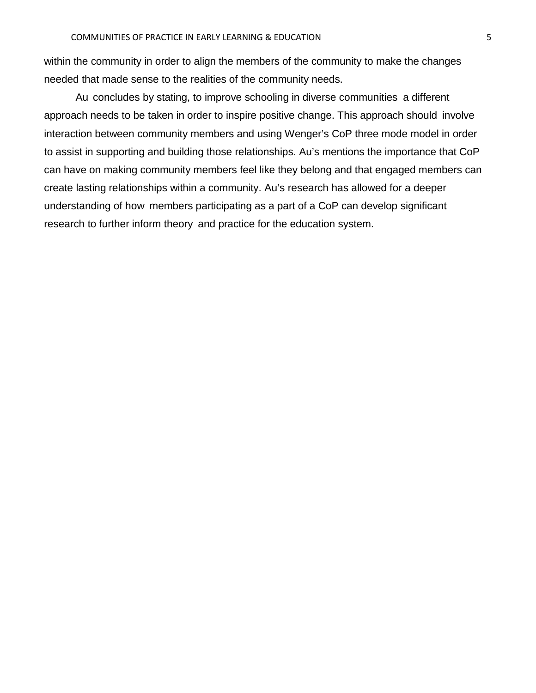within the community in order to align the members of the community to make the changes needed that made sense to the realities of the community needs.

Au concludes by stating, to improve schooling in diverse communities a different approach needs to be taken in order to inspire positive change. This approach should involve interaction between community members and using Wenger's CoP three mode model in order to assist in supporting and building those relationships. Au's mentions the importance that CoP can have on making community members feel like they belong and that engaged members can create lasting relationships within a community. Au's research has allowed for a deeper understanding of how members participating as a part of a CoP can develop significant research to further inform theory and practice for the education system.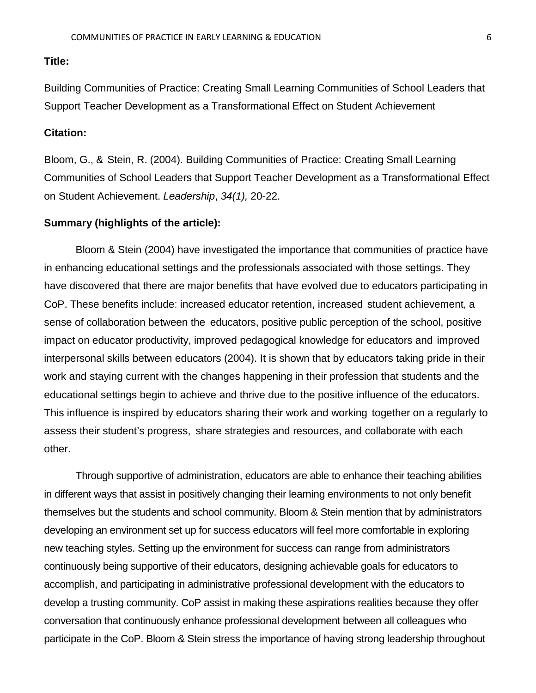<span id="page-5-0"></span>Building Communities of Practice: Creating Small Learning Communities of School Leaders that Support Teacher Development as a Transformational Effect on Student Achievement

# **Citation:**

Bloom, G., & Stein, R. (2004). Building Communities of Practice: Creating Small Learning Communities of School Leaders that Support Teacher Development as a Transformational Effect on Student Achievement. *Leadership*, *34(1),* 20-22.

# **Summary (highlights of the article):**

Bloom & Stein (2004) have investigated the importance that communities of practice have in enhancing educational settings and the professionals associated with those settings. They have discovered that there are major benefits that have evolved due to educators participating in CoP. These benefits include: increased educator retention, increased student achievement, a sense of collaboration between the educators, positive public perception of the school, positive impact on educator productivity, improved pedagogical knowledge for educators and improved interpersonal skills between educators (2004). It is shown that by educators taking pride in their work and staying current with the changes happening in their profession that students and the educational settings begin to achieve and thrive due to the positive influence of the educators. This influence is inspired by educators sharing their work and working together on a regularly to assess their student's progress, share strategies and resources, and collaborate with each other.

Through supportive of administration, educators are able to enhance their teaching abilities in different ways that assist in positively changing their learning environments to not only benefit themselves but the students and school community. Bloom & Stein mention that by administrators developing an environment set up for success educators will feel more comfortable in exploring new teaching styles. Setting up the environment for success can range from administrators continuously being supportive of their educators, designing achievable goals for educators to accomplish, and participating in administrative professional development with the educators to develop a trusting community. CoP assist in making these aspirations realities because they offer conversation that continuously enhance professional development between all colleagues who participate in the CoP. Bloom & Stein stress the importance of having strong leadership throughout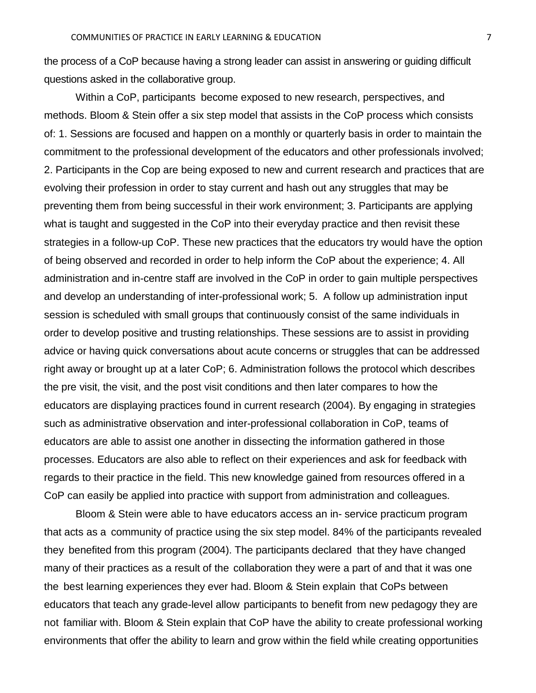the process of a CoP because having a strong leader can assist in answering or guiding difficult questions asked in the collaborative group.

Within a CoP, participants become exposed to new research, perspectives, and methods. Bloom & Stein offer a six step model that assists in the CoP process which consists of: 1. Sessions are focused and happen on a monthly or quarterly basis in order to maintain the commitment to the professional development of the educators and other professionals involved; 2. Participants in the Cop are being exposed to new and current research and practices that are evolving their profession in order to stay current and hash out any struggles that may be preventing them from being successful in their work environment; 3. Participants are applying what is taught and suggested in the CoP into their everyday practice and then revisit these strategies in a follow-up CoP. These new practices that the educators try would have the option of being observed and recorded in order to help inform the CoP about the experience; 4. All administration and in-centre staff are involved in the CoP in order to gain multiple perspectives and develop an understanding of inter-professional work; 5. A follow up administration input session is scheduled with small groups that continuously consist of the same individuals in order to develop positive and trusting relationships. These sessions are to assist in providing advice or having quick conversations about acute concerns or struggles that can be addressed right away or brought up at a later CoP; 6. Administration follows the protocol which describes the pre visit, the visit, and the post visit conditions and then later compares to how the educators are displaying practices found in current research (2004). By engaging in strategies such as administrative observation and inter-professional collaboration in CoP, teams of educators are able to assist one another in dissecting the information gathered in those processes. Educators are also able to reflect on their experiences and ask for feedback with regards to their practice in the field. This new knowledge gained from resources offered in a CoP can easily be applied into practice with support from administration and colleagues.

Bloom & Stein were able to have educators access an in- service practicum program that acts as a community of practice using the six step model. 84% of the participants revealed they benefited from this program (2004). The participants declared that they have changed many of their practices as a result of the collaboration they were a part of and that it was one the best learning experiences they ever had. Bloom & Stein explain that CoPs between educators that teach any grade-level allow participants to benefit from new pedagogy they are not familiar with. Bloom & Stein explain that CoP have the ability to create professional working environments that offer the ability to learn and grow within the field while creating opportunities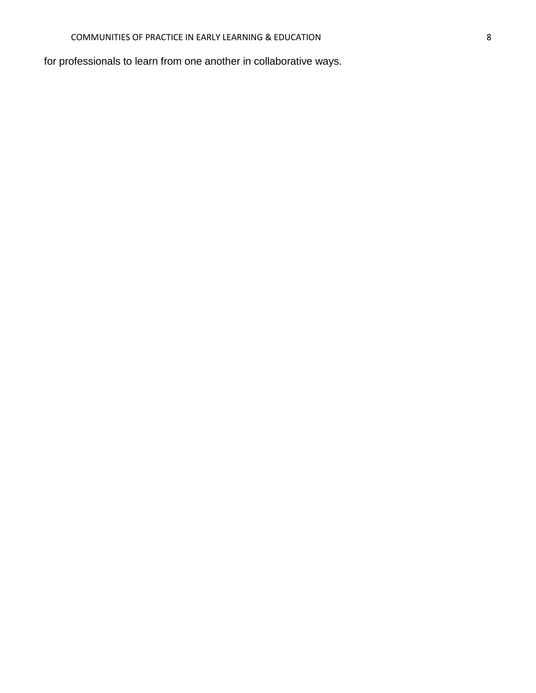for professionals to learn from one another in collaborative ways.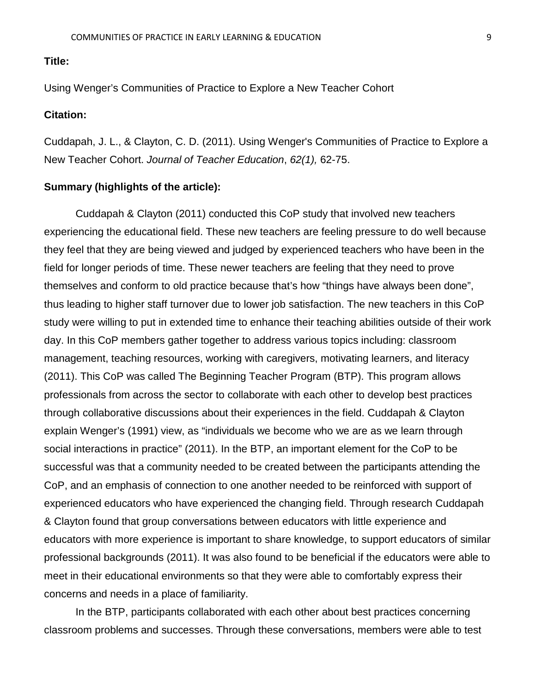<span id="page-8-0"></span>Using Wenger's Communities of Practice to Explore a New Teacher Cohort

# **Citation:**

Cuddapah, J. L., & Clayton, C. D. (2011). Using Wenger's Communities of Practice to Explore a New Teacher Cohort. *Journal of Teacher Education*, *62(1),* 62-75.

#### **Summary (highlights of the article):**

Cuddapah & Clayton (2011) conducted this CoP study that involved new teachers experiencing the educational field. These new teachers are feeling pressure to do well because they feel that they are being viewed and judged by experienced teachers who have been in the field for longer periods of time. These newer teachers are feeling that they need to prove themselves and conform to old practice because that's how "things have always been done", thus leading to higher staff turnover due to lower job satisfaction. The new teachers in this CoP study were willing to put in extended time to enhance their teaching abilities outside of their work day. In this CoP members gather together to address various topics including: classroom management, teaching resources, working with caregivers, motivating learners, and literacy (2011). This CoP was called The Beginning Teacher Program (BTP). This program allows professionals from across the sector to collaborate with each other to develop best practices through collaborative discussions about their experiences in the field. Cuddapah & Clayton explain Wenger's (1991) view, as "individuals we become who we are as we learn through social interactions in practice" (2011). In the BTP, an important element for the CoP to be successful was that a community needed to be created between the participants attending the CoP, and an emphasis of connection to one another needed to be reinforced with support of experienced educators who have experienced the changing field. Through research Cuddapah & Clayton found that group conversations between educators with little experience and educators with more experience is important to share knowledge, to support educators of similar professional backgrounds (2011). It was also found to be beneficial if the educators were able to meet in their educational environments so that they were able to comfortably express their concerns and needs in a place of familiarity.

In the BTP, participants collaborated with each other about best practices concerning classroom problems and successes. Through these conversations, members were able to test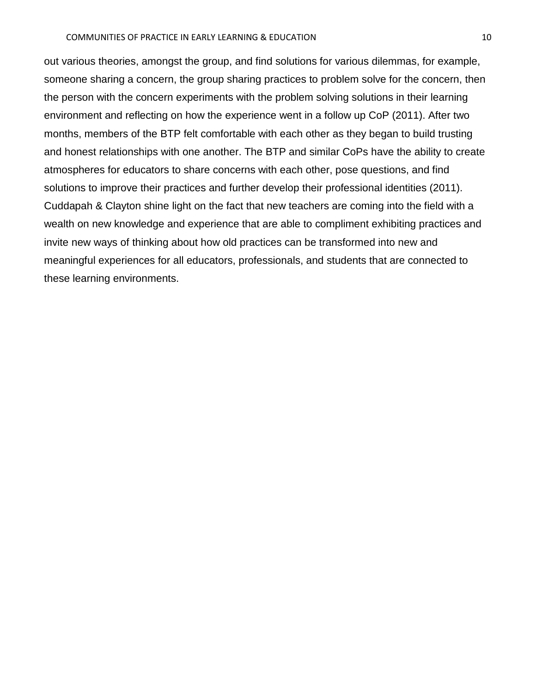out various theories, amongst the group, and find solutions for various dilemmas, for example, someone sharing a concern, the group sharing practices to problem solve for the concern, then the person with the concern experiments with the problem solving solutions in their learning environment and reflecting on how the experience went in a follow up CoP (2011). After two months, members of the BTP felt comfortable with each other as they began to build trusting and honest relationships with one another. The BTP and similar CoPs have the ability to create atmospheres for educators to share concerns with each other, pose questions, and find solutions to improve their practices and further develop their professional identities (2011). Cuddapah & Clayton shine light on the fact that new teachers are coming into the field with a wealth on new knowledge and experience that are able to compliment exhibiting practices and invite new ways of thinking about how old practices can be transformed into new and meaningful experiences for all educators, professionals, and students that are connected to these learning environments.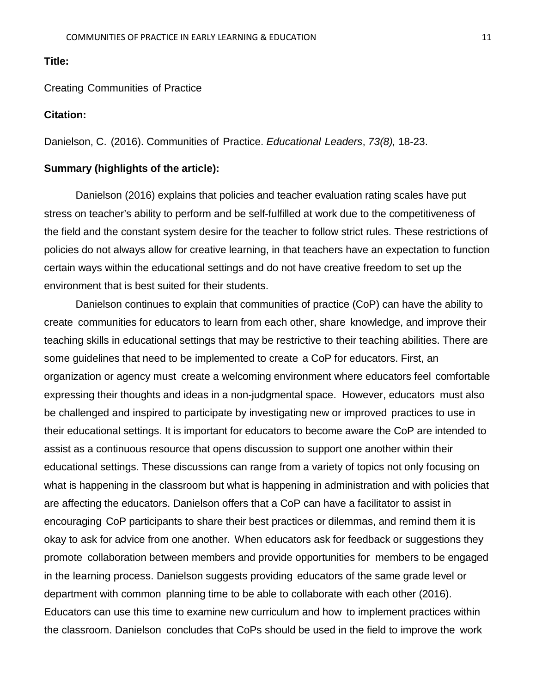<span id="page-10-0"></span>Creating Communities of Practice

#### **Citation:**

Danielson, C. (2016). Communities of Practice. *Educational Leaders*, *73(8),* 18-23.

# **Summary (highlights of the article):**

Danielson (2016) explains that policies and teacher evaluation rating scales have put stress on teacher's ability to perform and be self-fulfilled at work due to the competitiveness of the field and the constant system desire for the teacher to follow strict rules. These restrictions of policies do not always allow for creative learning, in that teachers have an expectation to function certain ways within the educational settings and do not have creative freedom to set up the environment that is best suited for their students.

Danielson continues to explain that communities of practice (CoP) can have the ability to create communities for educators to learn from each other, share knowledge, and improve their teaching skills in educational settings that may be restrictive to their teaching abilities. There are some guidelines that need to be implemented to create a CoP for educators. First, an organization or agency must create a welcoming environment where educators feel comfortable expressing their thoughts and ideas in a non-judgmental space. However, educators must also be challenged and inspired to participate by investigating new or improved practices to use in their educational settings. It is important for educators to become aware the CoP are intended to assist as a continuous resource that opens discussion to support one another within their educational settings. These discussions can range from a variety of topics not only focusing on what is happening in the classroom but what is happening in administration and with policies that are affecting the educators. Danielson offers that a CoP can have a facilitator to assist in encouraging CoP participants to share their best practices or dilemmas, and remind them it is okay to ask for advice from one another. When educators ask for feedback or suggestions they promote collaboration between members and provide opportunities for members to be engaged in the learning process. Danielson suggests providing educators of the same grade level or department with common planning time to be able to collaborate with each other (2016). Educators can use this time to examine new curriculum and how to implement practices within the classroom. Danielson concludes that CoPs should be used in the field to improve the work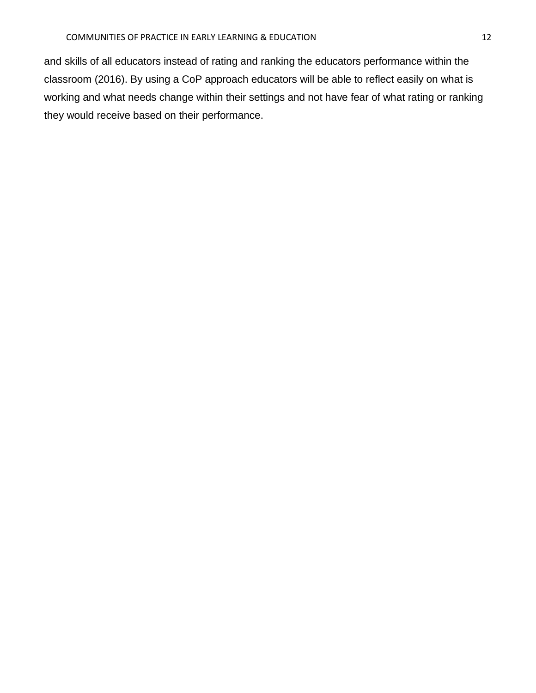and skills of all educators instead of rating and ranking the educators performance within the classroom (2016). By using a CoP approach educators will be able to reflect easily on what is working and what needs change within their settings and not have fear of what rating or ranking they would receive based on their performance.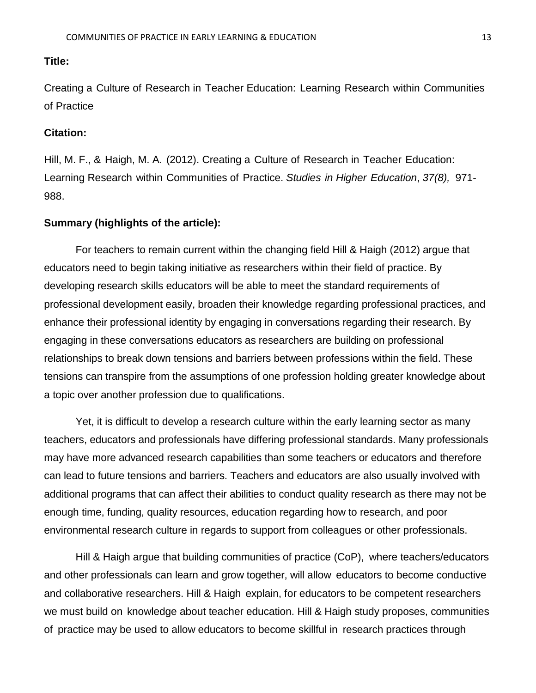<span id="page-12-0"></span>Creating a Culture of Research in Teacher Education: Learning Research within Communities of Practice

# **Citation:**

Hill, M. F., & Haigh, M. A. (2012). Creating a Culture of Research in Teacher Education: Learning Research within Communities of Practice. *Studies in Higher Education*, *37(8),* 971- 988.

# **Summary (highlights of the article):**

For teachers to remain current within the changing field Hill & Haigh (2012) argue that educators need to begin taking initiative as researchers within their field of practice. By developing research skills educators will be able to meet the standard requirements of professional development easily, broaden their knowledge regarding professional practices, and enhance their professional identity by engaging in conversations regarding their research. By engaging in these conversations educators as researchers are building on professional relationships to break down tensions and barriers between professions within the field. These tensions can transpire from the assumptions of one profession holding greater knowledge about a topic over another profession due to qualifications.

Yet, it is difficult to develop a research culture within the early learning sector as many teachers, educators and professionals have differing professional standards. Many professionals may have more advanced research capabilities than some teachers or educators and therefore can lead to future tensions and barriers. Teachers and educators are also usually involved with additional programs that can affect their abilities to conduct quality research as there may not be enough time, funding, quality resources, education regarding how to research, and poor environmental research culture in regards to support from colleagues or other professionals.

Hill & Haigh argue that building communities of practice (CoP), where teachers/educators and other professionals can learn and grow together, will allow educators to become conductive and collaborative researchers. Hill & Haigh explain, for educators to be competent researchers we must build on knowledge about teacher education. Hill & Haigh study proposes, communities of practice may be used to allow educators to become skillful in research practices through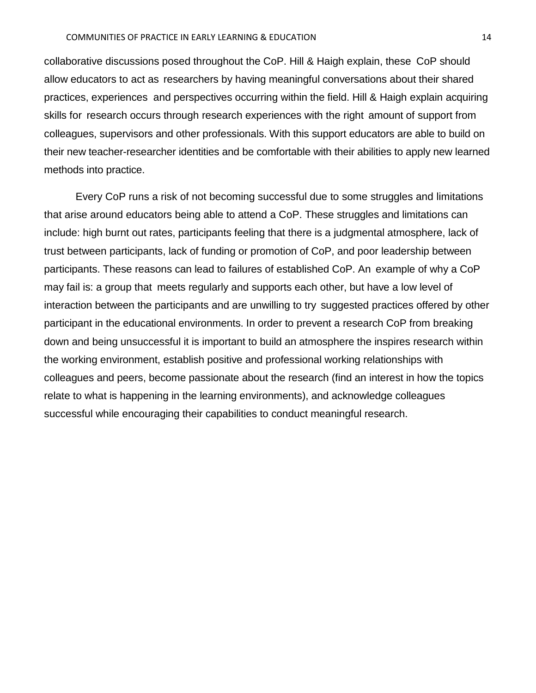collaborative discussions posed throughout the CoP. Hill & Haigh explain, these CoP should allow educators to act as researchers by having meaningful conversations about their shared practices, experiences and perspectives occurring within the field. Hill & Haigh explain acquiring skills for research occurs through research experiences with the right amount of support from colleagues, supervisors and other professionals. With this support educators are able to build on their new teacher-researcher identities and be comfortable with their abilities to apply new learned methods into practice.

Every CoP runs a risk of not becoming successful due to some struggles and limitations that arise around educators being able to attend a CoP. These struggles and limitations can include: high burnt out rates, participants feeling that there is a judgmental atmosphere, lack of trust between participants, lack of funding or promotion of CoP, and poor leadership between participants. These reasons can lead to failures of established CoP. An example of why a CoP may fail is: a group that meets regularly and supports each other, but have a low level of interaction between the participants and are unwilling to try suggested practices offered by other participant in the educational environments. In order to prevent a research CoP from breaking down and being unsuccessful it is important to build an atmosphere the inspires research within the working environment, establish positive and professional working relationships with colleagues and peers, become passionate about the research (find an interest in how the topics relate to what is happening in the learning environments), and acknowledge colleagues successful while encouraging their capabilities to conduct meaningful research.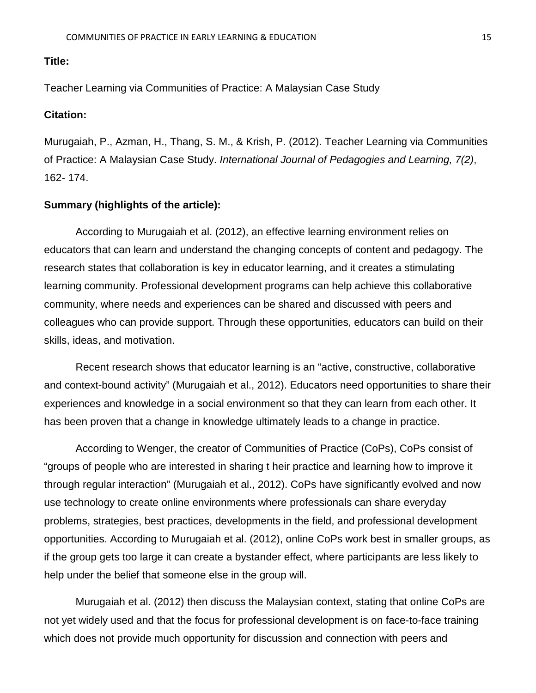<span id="page-14-0"></span>Teacher Learning via Communities of Practice: A Malaysian Case Study

# **Citation:**

Murugaiah, P., Azman, H., Thang, S. M., & Krish, P. (2012). Teacher Learning via Communities of Practice: A Malaysian Case Study. *International Journal of Pedagogies and Learning, 7(2)*, 162- 174.

#### **Summary (highlights of the article):**

According to Murugaiah et al. (2012), an effective learning environment relies on educators that can learn and understand the changing concepts of content and pedagogy. The research states that collaboration is key in educator learning, and it creates a stimulating learning community. Professional development programs can help achieve this collaborative community, where needs and experiences can be shared and discussed with peers and colleagues who can provide support. Through these opportunities, educators can build on their skills, ideas, and motivation.

Recent research shows that educator learning is an "active, constructive, collaborative and context-bound activity" (Murugaiah et al., 2012). Educators need opportunities to share their experiences and knowledge in a social environment so that they can learn from each other. It has been proven that a change in knowledge ultimately leads to a change in practice.

According to Wenger, the creator of Communities of Practice (CoPs), CoPs consist of "groups of people who are interested in sharing t heir practice and learning how to improve it through regular interaction" (Murugaiah et al., 2012). CoPs have significantly evolved and now use technology to create online environments where professionals can share everyday problems, strategies, best practices, developments in the field, and professional development opportunities. According to Murugaiah et al. (2012), online CoPs work best in smaller groups, as if the group gets too large it can create a bystander effect, where participants are less likely to help under the belief that someone else in the group will.

Murugaiah et al. (2012) then discuss the Malaysian context, stating that online CoPs are not yet widely used and that the focus for professional development is on face-to-face training which does not provide much opportunity for discussion and connection with peers and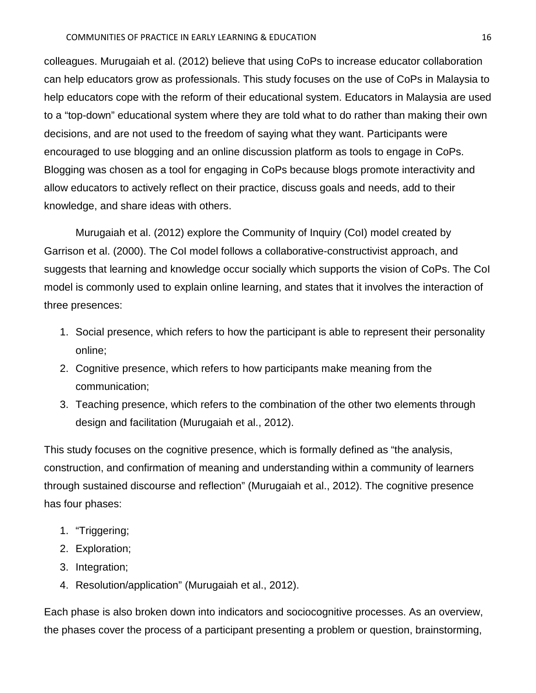colleagues. Murugaiah et al. (2012) believe that using CoPs to increase educator collaboration can help educators grow as professionals. This study focuses on the use of CoPs in Malaysia to help educators cope with the reform of their educational system. Educators in Malaysia are used to a "top-down" educational system where they are told what to do rather than making their own decisions, and are not used to the freedom of saying what they want. Participants were encouraged to use blogging and an online discussion platform as tools to engage in CoPs. Blogging was chosen as a tool for engaging in CoPs because blogs promote interactivity and allow educators to actively reflect on their practice, discuss goals and needs, add to their knowledge, and share ideas with others.

Murugaiah et al. (2012) explore the Community of Inquiry (CoI) model created by Garrison et al. (2000). The CoI model follows a collaborative-constructivist approach, and suggests that learning and knowledge occur socially which supports the vision of CoPs. The CoI model is commonly used to explain online learning, and states that it involves the interaction of three presences:

- 1. Social presence, which refers to how the participant is able to represent their personality online;
- 2. Cognitive presence, which refers to how participants make meaning from the communication;
- 3. Teaching presence, which refers to the combination of the other two elements through design and facilitation (Murugaiah et al., 2012).

This study focuses on the cognitive presence, which is formally defined as "the analysis, construction, and confirmation of meaning and understanding within a community of learners through sustained discourse and reflection" (Murugaiah et al., 2012). The cognitive presence has four phases:

- 1. "Triggering;
- 2. Exploration;
- 3. Integration;
- 4. Resolution/application" (Murugaiah et al., 2012).

Each phase is also broken down into indicators and sociocognitive processes. As an overview, the phases cover the process of a participant presenting a problem or question, brainstorming,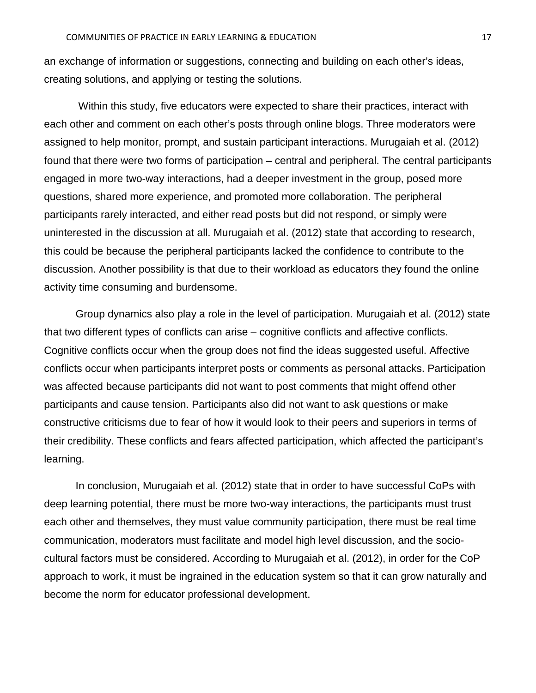an exchange of information or suggestions, connecting and building on each other's ideas, creating solutions, and applying or testing the solutions.

Within this study, five educators were expected to share their practices, interact with each other and comment on each other's posts through online blogs. Three moderators were assigned to help monitor, prompt, and sustain participant interactions. Murugaiah et al. (2012) found that there were two forms of participation – central and peripheral. The central participants engaged in more two-way interactions, had a deeper investment in the group, posed more questions, shared more experience, and promoted more collaboration. The peripheral participants rarely interacted, and either read posts but did not respond, or simply were uninterested in the discussion at all. Murugaiah et al. (2012) state that according to research, this could be because the peripheral participants lacked the confidence to contribute to the discussion. Another possibility is that due to their workload as educators they found the online activity time consuming and burdensome.

Group dynamics also play a role in the level of participation. Murugaiah et al. (2012) state that two different types of conflicts can arise – cognitive conflicts and affective conflicts. Cognitive conflicts occur when the group does not find the ideas suggested useful. Affective conflicts occur when participants interpret posts or comments as personal attacks. Participation was affected because participants did not want to post comments that might offend other participants and cause tension. Participants also did not want to ask questions or make constructive criticisms due to fear of how it would look to their peers and superiors in terms of their credibility. These conflicts and fears affected participation, which affected the participant's learning.

In conclusion, Murugaiah et al. (2012) state that in order to have successful CoPs with deep learning potential, there must be more two-way interactions, the participants must trust each other and themselves, they must value community participation, there must be real time communication, moderators must facilitate and model high level discussion, and the sociocultural factors must be considered. According to Murugaiah et al. (2012), in order for the CoP approach to work, it must be ingrained in the education system so that it can grow naturally and become the norm for educator professional development.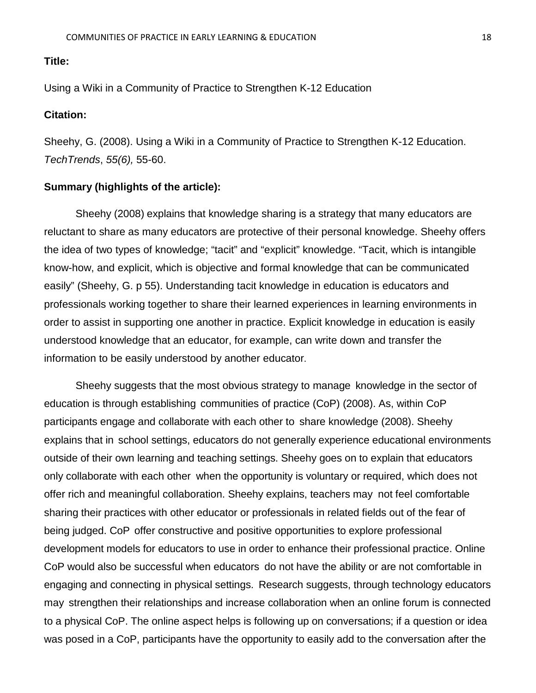<span id="page-17-0"></span>Using a Wiki in a Community of Practice to Strengthen K-12 Education

# **Citation:**

Sheehy, G. (2008). Using a Wiki in a Community of Practice to Strengthen K-12 Education. *TechTrends*, *55(6),* 55-60.

#### **Summary (highlights of the article):**

Sheehy (2008) explains that knowledge sharing is a strategy that many educators are reluctant to share as many educators are protective of their personal knowledge. Sheehy offers the idea of two types of knowledge; "tacit" and "explicit" knowledge. "Tacit, which is intangible know-how, and explicit, which is objective and formal knowledge that can be communicated easily" (Sheehy, G. p 55). Understanding tacit knowledge in education is educators and professionals working together to share their learned experiences in learning environments in order to assist in supporting one another in practice. Explicit knowledge in education is easily understood knowledge that an educator, for example, can write down and transfer the information to be easily understood by another educator.

Sheehy suggests that the most obvious strategy to manage knowledge in the sector of education is through establishing communities of practice (CoP) (2008). As, within CoP participants engage and collaborate with each other to share knowledge (2008). Sheehy explains that in school settings, educators do not generally experience educational environments outside of their own learning and teaching settings. Sheehy goes on to explain that educators only collaborate with each other when the opportunity is voluntary or required, which does not offer rich and meaningful collaboration. Sheehy explains, teachers may not feel comfortable sharing their practices with other educator or professionals in related fields out of the fear of being judged. CoP offer constructive and positive opportunities to explore professional development models for educators to use in order to enhance their professional practice. Online CoP would also be successful when educators do not have the ability or are not comfortable in engaging and connecting in physical settings. Research suggests, through technology educators may strengthen their relationships and increase collaboration when an online forum is connected to a physical CoP. The online aspect helps is following up on conversations; if a question or idea was posed in a CoP, participants have the opportunity to easily add to the conversation after the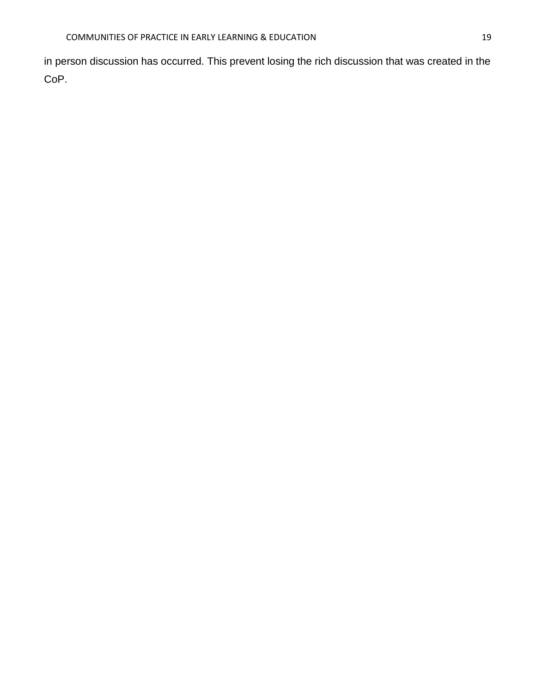in person discussion has occurred. This prevent losing the rich discussion that was created in the CoP.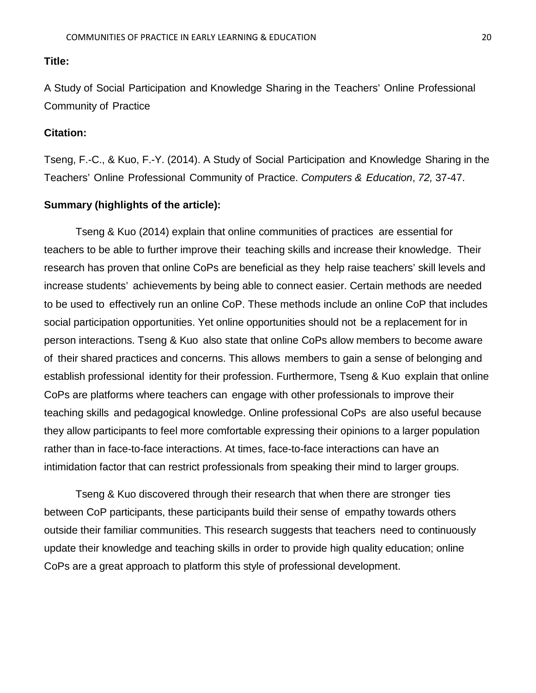<span id="page-19-0"></span>A Study of Social Participation and Knowledge Sharing in the Teachers' Online Professional Community of Practice

# **Citation:**

Tseng, F.-C., & Kuo, F.-Y. (2014). A Study of Social Participation and Knowledge Sharing in the Teachers' Online Professional Community of Practice. *Computers & Education*, *72,* 37-47.

#### **Summary (highlights of the article):**

Tseng & Kuo (2014) explain that online communities of practices are essential for teachers to be able to further improve their teaching skills and increase their knowledge. Their research has proven that online CoPs are beneficial as they help raise teachers' skill levels and increase students' achievements by being able to connect easier. Certain methods are needed to be used to effectively run an online CoP. These methods include an online CoP that includes social participation opportunities. Yet online opportunities should not be a replacement for in person interactions. Tseng & Kuo also state that online CoPs allow members to become aware of their shared practices and concerns. This allows members to gain a sense of belonging and establish professional identity for their profession. Furthermore, Tseng & Kuo explain that online CoPs are platforms where teachers can engage with other professionals to improve their teaching skills and pedagogical knowledge. Online professional CoPs are also useful because they allow participants to feel more comfortable expressing their opinions to a larger population rather than in face-to-face interactions. At times, face-to-face interactions can have an intimidation factor that can restrict professionals from speaking their mind to larger groups.

Tseng & Kuo discovered through their research that when there are stronger ties between CoP participants, these participants build their sense of empathy towards others outside their familiar communities. This research suggests that teachers need to continuously update their knowledge and teaching skills in order to provide high quality education; online CoPs are a great approach to platform this style of professional development.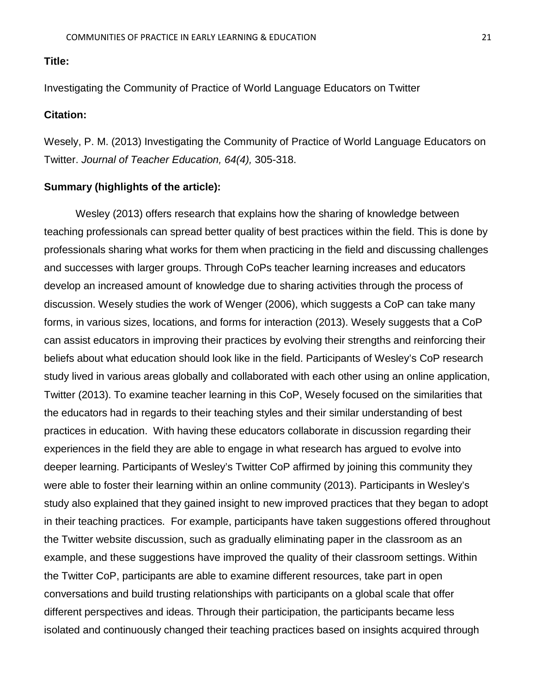<span id="page-20-0"></span>Investigating the Community of Practice of World Language Educators on Twitter

### **Citation:**

Wesely, P. M. (2013) Investigating the Community of Practice of World Language Educators on Twitter. *Journal of Teacher Education, 64(4),* 305-318.

# **Summary (highlights of the article):**

Wesley (2013) offers research that explains how the sharing of knowledge between teaching professionals can spread better quality of best practices within the field. This is done by professionals sharing what works for them when practicing in the field and discussing challenges and successes with larger groups. Through CoPs teacher learning increases and educators develop an increased amount of knowledge due to sharing activities through the process of discussion. Wesely studies the work of Wenger (2006), which suggests a CoP can take many forms, in various sizes, locations, and forms for interaction (2013). Wesely suggests that a CoP can assist educators in improving their practices by evolving their strengths and reinforcing their beliefs about what education should look like in the field. Participants of Wesley's CoP research study lived in various areas globally and collaborated with each other using an online application, Twitter (2013). To examine teacher learning in this CoP, Wesely focused on the similarities that the educators had in regards to their teaching styles and their similar understanding of best practices in education. With having these educators collaborate in discussion regarding their experiences in the field they are able to engage in what research has argued to evolve into deeper learning. Participants of Wesley's Twitter CoP affirmed by joining this community they were able to foster their learning within an online community (2013). Participants in Wesley's study also explained that they gained insight to new improved practices that they began to adopt in their teaching practices. For example, participants have taken suggestions offered throughout the Twitter website discussion, such as gradually eliminating paper in the classroom as an example, and these suggestions have improved the quality of their classroom settings. Within the Twitter CoP, participants are able to examine different resources, take part in open conversations and build trusting relationships with participants on a global scale that offer different perspectives and ideas. Through their participation, the participants became less isolated and continuously changed their teaching practices based on insights acquired through